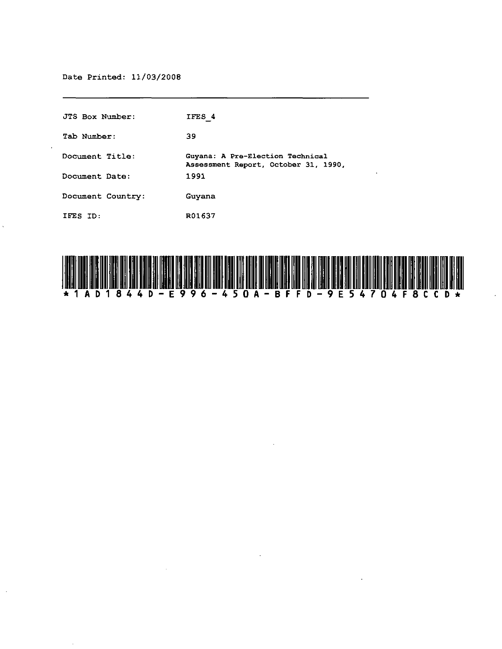# Date Printed: 11/03/2008

 $\hat{\boldsymbol{\epsilon}}$ 

| JTS Box Number:   | IFES 4                                                                   |
|-------------------|--------------------------------------------------------------------------|
| Tab Number:       | 39                                                                       |
| Document Title:   | Guyana: A Pre-Election Technical<br>Assessment Report, October 31, 1990, |
| Document Date:    | 1991                                                                     |
| Document Country: | Guyana                                                                   |
| IFES ID:          | R01637                                                                   |

 $\sim$ 

 $\mathcal{L}$ 



 $\ddot{\phantom{0}}$ 

 $\ddot{\phantom{a}}$ 

 $\cdot$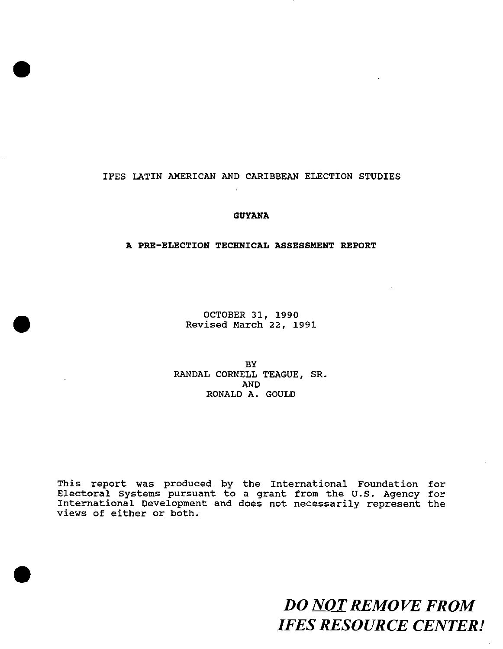# IFES LATIN AMERICAN AND CARIBBEAN ELECTION STUDIES

•

•

•

# **GUYANA**

# **A PRE-ELECTION TECHNICAL ASSESSMENT REPORT**

OCTOBER 31, 1990 Revised March 22, 1991

BY RANDAL CORNELL TEAGUE, SR. AND RONALD A. GOULD

This report was produced by the International Foundation for Electoral Systems pursuant to a grant from the U.S. Agency for International Development and does not necessarily represent the views of either or both.

> *DO NOT REMOVE FROM IFES RESOURCE CENTER!*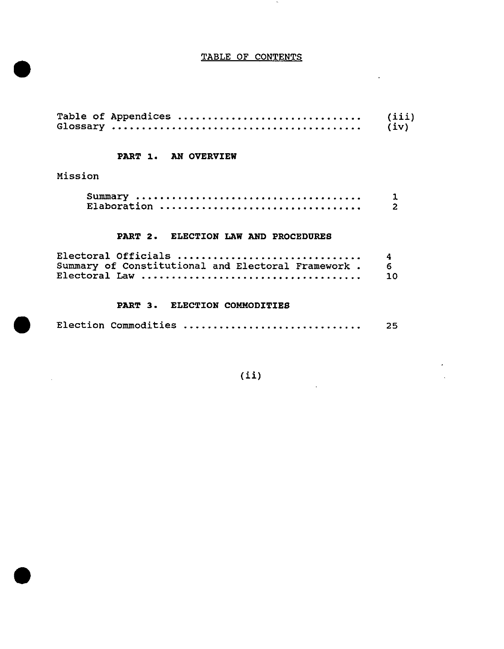# TABLE OF CONTENTS

 $\sim$   $\sim$ 

 $\mathbb{R}^2$ 

| Table of Appendices | (iii) |
|---------------------|-------|
|                     | (iv)  |

# PART 1. AN OVERVIEW

Mission

•

•

 $\sim$ 

•

| Elaboration |  |
|-------------|--|

# PART 2. ELECTION LAW AND PROCEDURES

| Electoral Officials                                   |           |
|-------------------------------------------------------|-----------|
| Summary of Constitutional and Electoral Framework . 6 |           |
|                                                       | <b>10</b> |

# PART 3. ELECTION COMMODITIES

|  | Election Commodities | 25 |
|--|----------------------|----|
|--|----------------------|----|

(ii)

 $\mathcal{L}$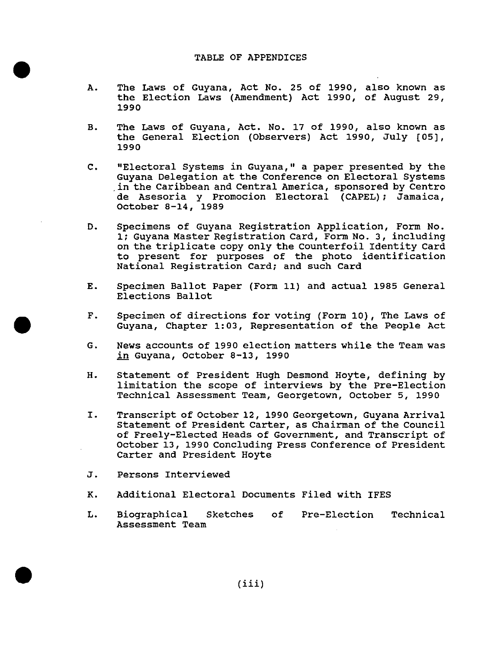## TABLE OF APPENDICES

- A. The Laws of Guyana, Act No. 25 of 1990, also known as the Election Laws (Amendment) Act 1990, of August 29, 1990
- B. The Laws of Guyana, Act. No. 17 of 1990, also known as the General Election (Observers) Act 1990, July [OS], 1990
- C. "Electoral Systems in Guyana," a paper presented by the Guyana Delegation at the Conference on Electoral Systems .in the Caribbean and Central America, sponsored by Centro de Asesoria y Promocion Electoral (CAPEL); Jamaica, October 8-14, 1989
- D. Specimens of Guyana Registration Application, Form No. 1; Guyana Master Registration Card, Form No.3, including on the triplicate copy only the Counterfoil Identity Card to present for purposes of the photo identification National Registration Card; and such Card
- E. Specimen Ballot Paper (Form 11) and actual 1985 General Elections Ballot
- F. Specimen of directions for voting (Form 10), The Laws of Guyana, Chapter 1:03, Representation of the People Act
- G. News accounts of 1990 election matters while the Team was in Guyana, October 8-13, 1990
- H. Statement of President Hugh Desmond Hoyte, defining by limitation the scope of interviews by the Pre-Election Technical Assessment Team, Georgetown, October 5, 1990
- I. Transcript of October 12, 1990 Georgetown, Guyana Arrival Statement of President Carter, as chairman of the Council of Freely-Elected Heads of Government, and Transcript of October 13, 1990 Concluding Press Conference of President Carter and President Hoyte
- J. Persons Interviewed

•

•

•

- K. Additional Electoral Documents Filed with IFES
- L. Biographical Sketches Assessment Team of Pre-Election Technical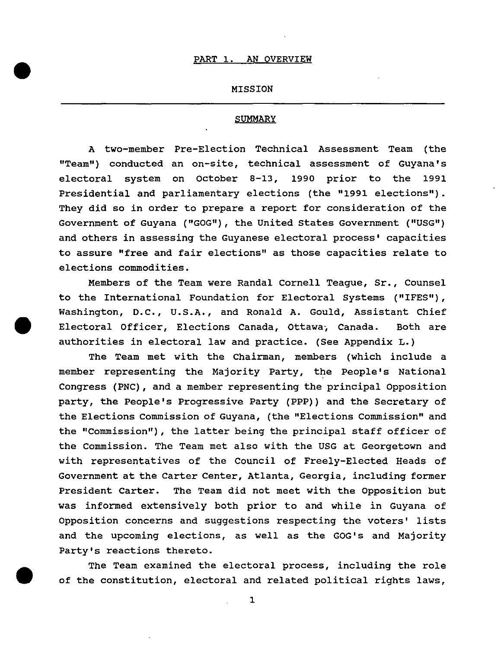•

•

#### MISSION

# **SUMMARY**

A two-member Pre-Election Technical Assessment Team (the "Team") conducted an on-site, technical assessment of Guyana's electoral system on October 8-13, 1990 prior to the 1991 Presidential and parliamentary elections (the "1991 elections"). They did so in order to prepare a report for consideration of the Government of Guyana ("GOG"), the united States Government ("USG") and others in assessing the Guyanese electoral process' capacities to assure "free and fair elections" as those capacities relate to elections commodities.

Members of the Team were Randal Cornell Teague, Sr., Counsel to the International Foundation for Electoral systems ("IFES"), Washington, D.C., U.S.A., and Ronald A. Gould, Assistant Chief • Electoral Officer, Elections Canada, ottawa; Canada. Both are authorities in electoral law and practice. (See Appendix L.)

The Team met with the Chairman, members (which include a member representing the Majority Party, the People's National Congress (PNC), and a member representing the principal opposition party, the People's Progressive Party (PPP)) and the Secretary of the Elections Commission of Guyana, (the "Elections Commission" and the "commission"), the latter being the principal staff officer of the Commission. The Team met also with the USG at Georgetown and with representatives of the Council of Freely-Elected Heads of Government at the Carter Center, Atlanta, Georgia, including former President Carter. The Team did not meet with the Opposition but was informed extensively both prior to and while in Guyana of Opposition concerns and suggestions respecting the voters' lists and the upcoming elections, as well as the GOG's and Majority Party's reactions thereto.

The Team examined the electoral process, including the role of the constitution, electoral and related political rights laws,

1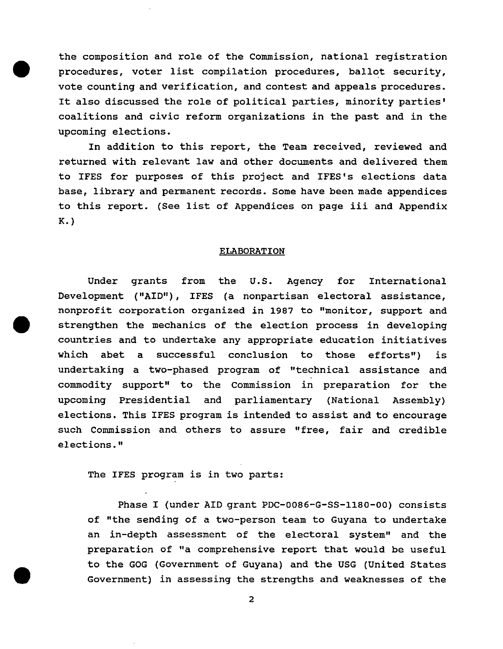the composition and role of the Commission, national registration procedures, voter list compilation procedures, ballot security, vote counting and verification, and contest and appeals procedures. It also discussed the role of political parties, minority parties' coalitions and civic reform organizations in the past and in the upcoming elections.

•

•

In addition to this report, the Team received, reviewed and returned with relevant law and other documents and delivered them to IFES for purposes of this project and IFES's elections data base, library and permanent records. Some have been made appendices to this report. (See list of Appendices on page iii and Appendix K. )

#### ELABORATION

Under grants from the U.S. Agency for International Development ("AID"), IFES (a nonpartisan electoral assistance, nonprofit corporation organized in 1987 to "monitor, support and • strengthen the mechanics of the election process in developing countries and to undertake any appropriate education initiatives which abet a successful conclusion to those efforts") is undertaking a two-phased program of "technical assistance and commodity support" to the Commission in preparation for the upcoming Presidential and parliamentary (National Assembly) elections. This IFES program is intended to assist and to encourage such Commission and others to assure "free, fair and credible elections."

The IFES program is in two parts:

Phase I (under AID grant PDC-0086-G-SS-ll80-00) consists of "the sending of a two-person team to Guyana to undertake an in-depth assessment of the electoral system" and the preparation of "a comprehensive report that would be useful to the GOG (Government of Guyana) and the USG (United States Government) in assessing the strengths and weaknesses of the

2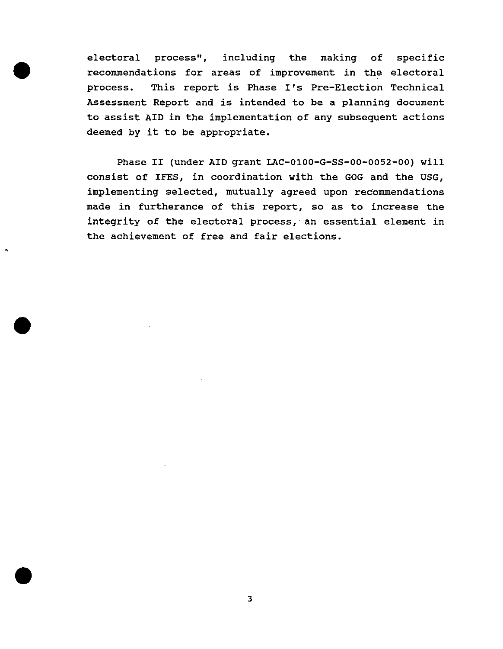electoral process", including the making of specific recommendations for areas of improvement in the electoral process. This report is Phase I's Pre-Election Technical Assessment Report and is intended to be a planning document to assist AID in the implementation of any subsequent actions deemed by it to be appropriate.

•

•

•

•

Phase II (under AID grant LAC-OIOO-G-SS-OO-0052-00) will consist of IFES, in coordination with the GOG and the USG, implementing selected, mutually agreed upon recommendations made in furtherance of this report, so as to increase the integrity of the electoral process, an essential element in the achievement of free and fair elections .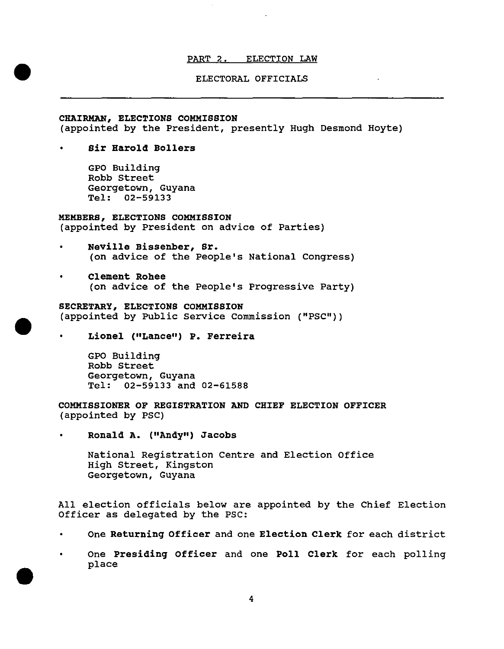# PART 2. ELECTION LAW

# ELECTORAL OFFICIALS

# CHAIRMAN, ELECTIONS COMMISSION (appointed by the President, presently Hugh Desmond Hoyte)

• Sir Harold Bollers

•

•

•

GPO Building Robb street Georgetown, Guyana Tel: 02-59133

# MEMBERS, ELECTIONS COMMISSION (appointed by President on advice of Parties)

- Neville Bissenber, Sr. (on advice of the people's National Congress)
- Clement Rohee (on advice of the people's progressive Party)

SECRETARY, ELECTIONS COMMISSION (appointed by Public Service Commission ("PSC"))

Lionel ("Lance") P. Ferreira

GPO Building Robb street Georgetown, Guyana Tel: 02-59133 and 02-61588

COMMISSIONER OF REGISTRATION AND CHIEF ELECTION OFFICER (appointed by PSC)

• Ronald A. ("Andy") Jacobs

National Registration Centre and Election Office High street, Kingston Georgetown, Guyana

All election officials below are appointed by the Chief Election Officer as delegated by the PSC:

- One Returning Officer and one Election Clerk for each district
- One Presiding Officer and one Poll Clerk for each polling place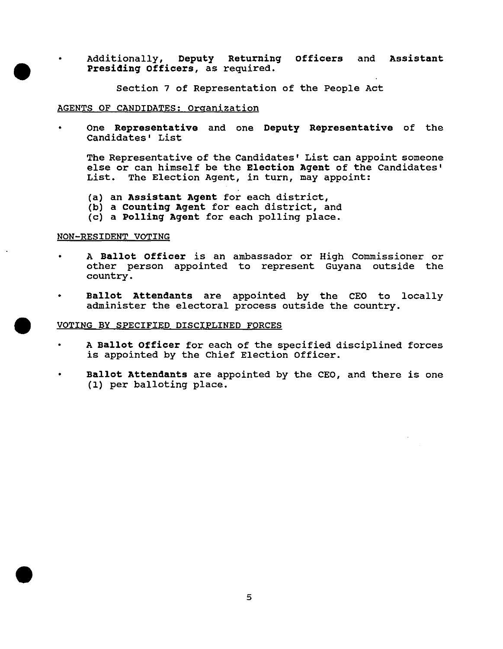• Additionally, Deputy Returning officers and Assistant Presiding Officers, as required.

section 7 of Representation of the People Act

#### AGENTS OF CANDIDATES: organization

• One Representative and one Deputy Representative of the Candidates' List

The Representative of the Candidates' List can appoint someone else or can himself be the Election Agent of the Candidates' List. The Election Agent, in turn, may appoint:

- (a) an Assistant Agent for each district,
- (b) a counting Agent for each district, and
- (c) a polling Agent for each polling place.

# NON-RESIDENT VOTING

•

•

- A Ballot Officer is an ambassador or High Commissioner or other person appointed to represent Guyana outside the country.
- Ballot Attendants are appointed by the CEO to locally administer the electoral process outside the country.

#### • VOTING BY SPECIFIED DISCIPLINED FORCES

- A Ballot Officer for each of the specified disciplined forces is appointed by the Chief Election Officer.
- Ballot Attendants are appointed by the CEO, and there is one (1) per balloting place.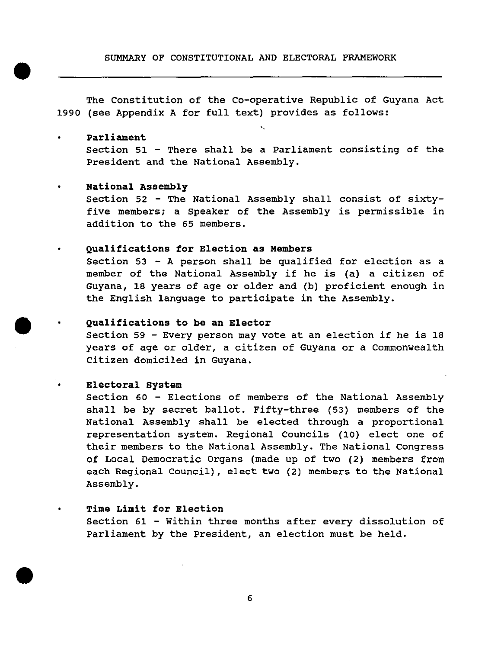SUMMARY OF CONSTITUTIONAL AND ELECTORAL FRAMEWORK

The Constitution of the Co-operative Republic of Guyana Act 1990 (see Appendix A for full text) provides as follows:

# • Parliament

•

•

•

section 51 - There shall be a Parliament consisting of the President and the National Assembly.

'.

#### • National Assembly

Section 52 - The National Assembly shall consist of sixtyfive members; a Speaker of the Assembly is permissible in addition to the 65 members.

#### • Qualifications for Election as Members

Section 53 - A person shall be qualified for election as a member of the National Assembly if he is (a) a citizen of Guyana, 18 years of age or older and (b) proficient enough in the English language to participate in the Assembly.

# Qualifications to be an Elector

Section 59 - Every person may vote at an election if he is 18 years of age or older, a citizen of Guyana or a Commonwealth citizen domiciled in Guyana.

# Electoral system

section 60 - Elections of members of the National Assembly shall be by secret ballot. Fifty-three (53) members of the National Assembly shall be elected through a proportional representation system. Regional councils (10) elect one of their members to the National Assembly. The National congress of Local Democratic Organs (made up of two (2) members from each Regional Council), elect two (2) members to the National Assembly.

# Time Limit for Election

section 61 - Within three months after every dissolution of Parliament by the president, an election must be held.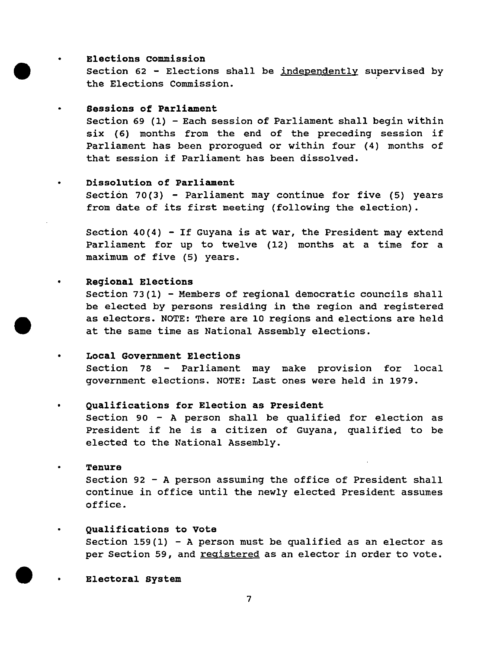# Elections commission

•

•

•

•

•

•

•

section 62 - Elections shall be independently supervised by the Elections Commission.

# Sessions of Parliament

section 69 (1) - Each session of Parliament shall begin within six (6) months from the end of the preceding session if Parliament has been prorogued or within four (4) months of that session if Parliament has been dissolved.

# • Dissolution of Parliament

section 70(3) - Parliament may continue for five (5) years from date of its first meeting (following the election).

Section 40(4) - If Guyana is at war, the President may extend Parliament for up to twelve (12) months at a time for a maximum of five (5) years.

# Regional Elections

section 73(1) - Members of regional democratic councils shall be elected by persons residing in the region and registered as electors. NOTE: There are 10 regions and elections are held at the same time as National Assembly elections.

# Local Government Elections

Section 78 - Parliament may make provision for local government elections. NOTE: Last ones were held in 1979.

# Qualifications for Election as President

section 90 - A person shall be qualified for election as President if he is a citizen of Guyana, qualified to be elected to the National Assembly.

#### • Tenure

section 92 - A person assuming the office of President shall continue in office until the newly elected President assumes office.

# Qualifications to vote

Section  $159(1)$  - A person must be qualified as an elector as per Section 59, and registered as an elector in order to vote.

Electoral system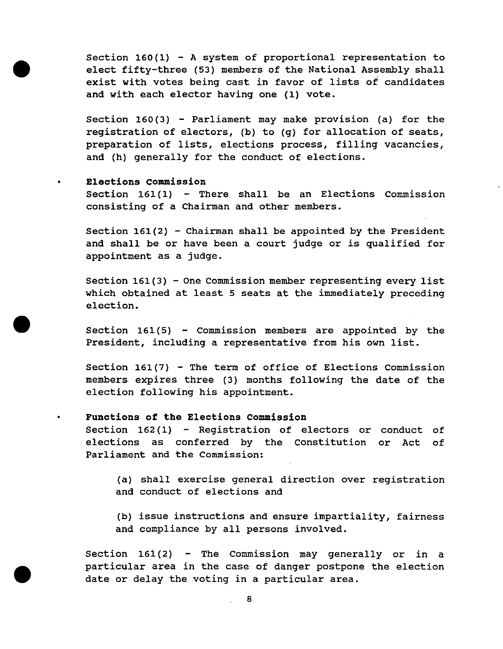Section  $160(1)$  - A system of proportional representation to elect fifty-three (53) members of the National Assembly shall exist with votes being cast in favor of lists of candidates and with each elector having one (1) vote.

Section  $160(3)$  - Parliament may make provision (a) for the registration of electors, (b) to (g) for allocation of seats, preparation of lists, elections process, filling vacancies, and (h) generally for the conduct of elections.

# • **Elections commission**

•

•

•

Section  $161(1)$  - There shall be an Elections Commission consisting of a Chairman and other members.

Section  $161(2)$  - Chairman shall be appointed by the President and shall be or have been a court judge or is qualified for appointment as a judge.

section 161(3) - One Commission member representing every list which obtained at least 5 seats at the immediately preceding election.

Section  $161(5)$  - Commission members are appointed by the President, including a representative from his own list.

section 161(7) - The term of office of Elections Commission members expires three (3) months following the date of the election following his appointment.

# • **Functions of the Elections Commission**

section 162 (1) - Registration of electors or conduct of elections as conferred by the Constitution or Act of Parliament and the Commission:

(a) shall exercise general direction over registration and conduct of elections and

(b) issue instructions and ensure impartiality, fairness and compliance by all persons involved.

Section  $161(2)$  - The Commission may generally or in a particular area in the case of danger postpone the election date or delay the voting in a particular area.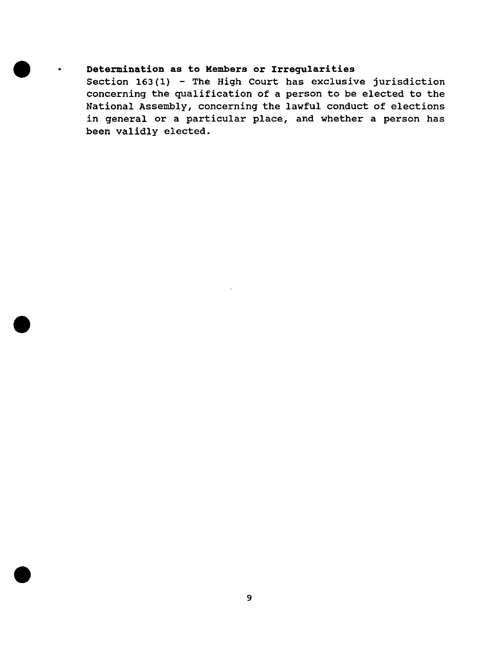# $\bullet$   $\cdot$ **Determination as to Members or Irregularities**

•

•

Section  $163(1)$  - The High Court has exclusive jurisdiction concerning the qualification of a person to be elected to the National Assembly, concerning the lawful conduct of elections in general or a particular place, and whether a person has been validly elected.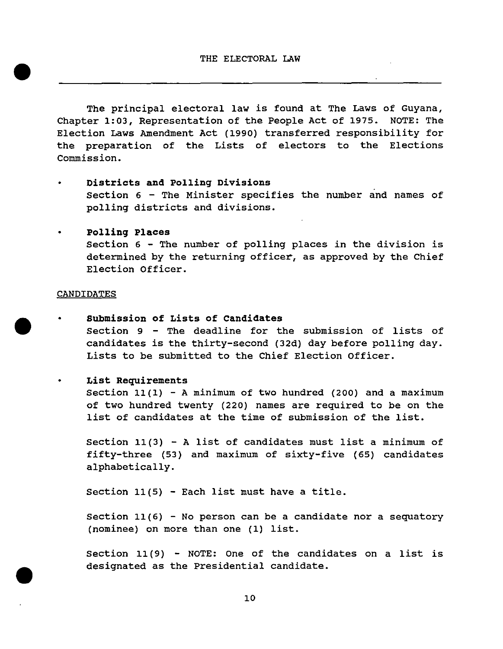The principal electoral law is found at The Laws of Guyana, Chapter 1:03, Representation of the People Act of 1975. NOTE: The Election Laws Amendment Act (1990) transferred responsibility for the preparation of the Lists of electors to the Elections Commission.

- **Districts and polling Divisions**  section 6 - The Minister specifies the number and names of polling districts and divisions.
- **polling Places**  section 6 - The number of polling places in the division is determined by the returning officer, as approved by the Chief Election Officer.

# **CANDIDATES**

•

•

 $\bullet$ 

- **Submission of Lists of Candidates**  Section 9 - The deadline for the submission of lists of candidates is the thirty-second (32d) day before polling day. Lists to be submitted to the Chief Election officer.
	- **List Requirements**

Section  $11(1)$  - A minimum of two hundred (200) and a maximum of two hundred twenty (220) names are required to be on the list of candidates at the time of submission of the list.

Section  $11(3)$  - A list of candidates must list a minimum of fifty-three (53) and maximum of sixty-five (65) candidates alphabetically.

Section 11(5) - Each list must have a title.

section 11(6) - No person can be a candidate nor a sequatory (nominee) on more than one (1) list.

section 11 (9) - NOTE: One of the candidates on a list is designated as the Presidential candidate.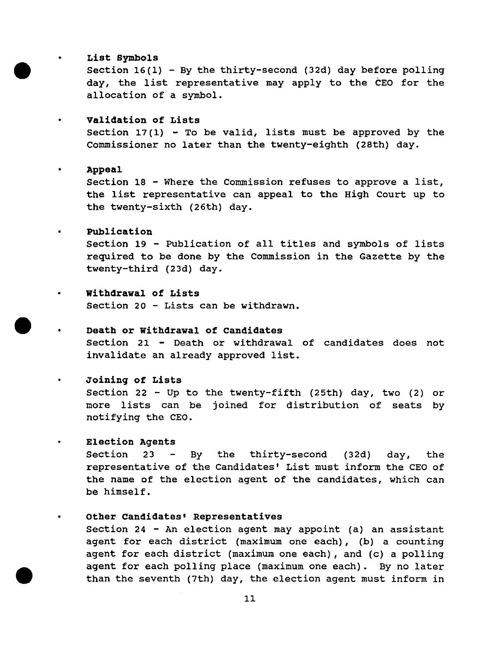# List Symbols

•

•

•

Section  $16(1)$  - By the thirty-second (32d) day before polling day, the list representative may apply to the CEO for the allocation of a symbol.

• validation of Lists Section  $17(1)$  - To be valid, lists must be approved by the Commissioner no later than the twenty-eighth (28th) day.

• Appeal section 18 - Where the Commission refuses to approve a list, the list representative can appeal to the High Court up to the twenty-sixth (26th) day.

# • Publication

section 19 - Publication of all titles and symbols of lists required to be done by the Commission in the Gazette by the twenty-third (23d) day.

# • withdrawal of Lists

section 20 - Lists can be withdrawn.

#### • Death or withdrawal of Candidates

section 21 - Death or withdrawal of candidates does not invalidate an already approved list.

# • Joining of Lists

Section 22 - Up to the twenty-fifth (25th) day, two (2) or more lists can be joined for distribution of seats by notifying the CEO.

#### • Election Agents

Section 23 - By the thirty-second  $(32d)$  day, the representative of the Candidates' List must inform the CEO of the name of the election agent of the candidates, which can be himself.

#### other Candidates' Representatives

section 24 - An election agent may appoint (a) an assistant agent for each district (maximum one each), (b) a counting agent for each district (maximum one each), and (c) a polling agent for each polling place (maximum one each). By no later than the seventh (7th) day, the election agent must inform in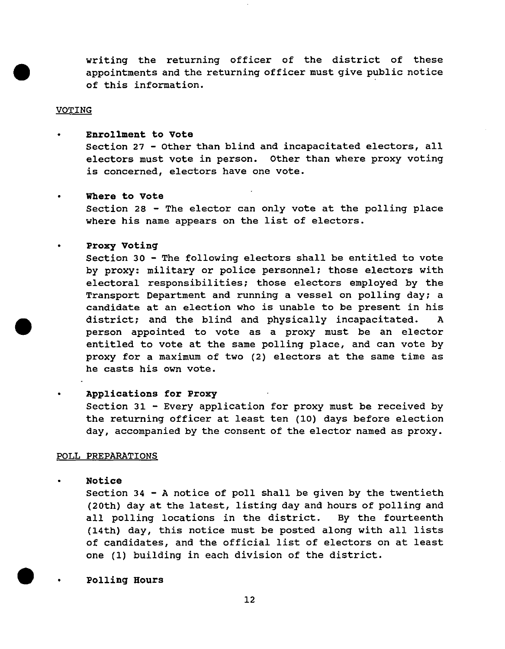writing the returning officer of the district of these appointments and the returning officer must give public notice of this information. .

# **VOTING**

•

•

•

•

•

•

• Enrollment to Vote section 27 - Other than blind and incapacitated electors, all electors must vote in person. Other than where proxy voting is concerned, electors have one vote.

# Where to Vote

Section 28 - The elector can only vote at the polling place where his name appears on the list of electors.

#### proxy Voting

section 30 - The following electors shall be entitled to vote by proxy: military or police personnel; those electors with electoral responsibilities; those electors employed by the Transport Department and running a vessel on polling day; a candidate at an election who is unable to be present in his district; and the blind and physically incapacitated. A person appointed to vote as a proxy must be an elector entitled to vote at the same polling place, and can vote by proxy for a maximum of two (2) electors at the same time as he casts his own vote.

# Applications for Proxy

Section 31 - Every application for proxy must be received by the returning officer at least ten (10) days before election day, accompanied by the consent of the elector named as proxy.

# POLL PREPARATIONS

#### Notice

section 34 - A notice of poll shall be given by the twentieth (20th) day at the latest, listing day and hours of polling and all polling locations in the district. By the fourteenth (14th) day, this notice must be posted along with all lists of candidates, and the official list of electors on at least one (1) building in each division of the district.

#### polling Hours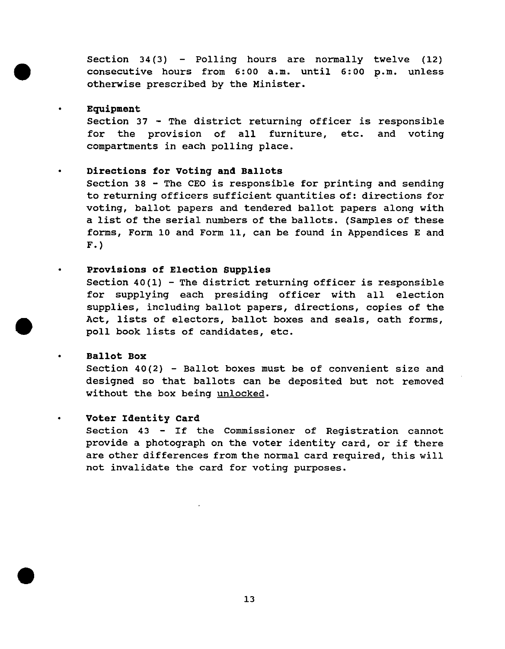Section  $34(3)$  - Polling hours are normally twelve (12) consecutive hours from 6:00 a.m. until 6:00 p.m. unless otherwise prescribed by the Minister.

# Equipment

•

•

•

•

•

Section 37 - The district returning officer is responsible for the provision of all compartments in each polling place. furniture, etc. and voting

# • Directions for voting and Ballots

Section 38 - The CEO is responsible for printing and sending to returning officers sufficient quantities of: directions for voting, ballot papers and tendered ballot papers along with a list of the serial numbers of the ballots. (Samples of these forms, Form 10 and Form 11, can be found in Appendices E and F. )

# Provisions of Election Supplies

Section  $40(1)$  - The district returning officer is responsible for supplying each presiding officer with all election supplies, including ballot papers, directions, copies of the Act, lists of electors, ballot boxes and seals, oath forms, poll book lists of candidates, etc.

# Ballot Box

Section 40(2) - Ballot boxes must be of convenient size and designed so that ballots can be deposited but not removed without the box being unlocked.

# Voter Identity Card

Section 43 - If the Commissioner of Registration cannot provide a photograph on the voter identity card, or if there are other differences from the normal card required, this will not invalidate the card for voting purposes .

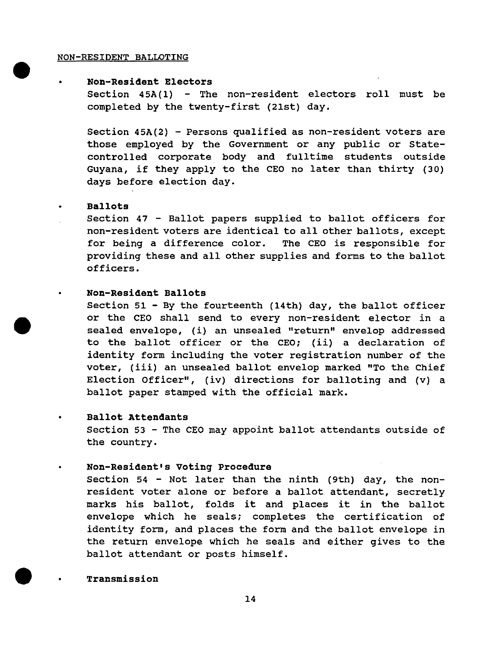## NON-RESIDENT BALLOTING

# • **Non-Resident Electors**

Section 45A(1) - The non-resident electors roll must be completed by the twenty-first (21st) day.

Section  $45A(2)$  - Persons qualified as non-resident voters are those employed by the Government or any public or Statecontrolled corporate body and fulltime students outside Guyana, if they apply to the CEO no later than thirty (30) days before election day.

# • **Ballots**

•

•

•

•

section 47 - Ballot papers supplied to ballot officers for non-resident voters are identical to all other ballots, except for being a difference color. The CEO is responsible for providing these and all other supplies and forms to the ballot officers.

#### • **Non-Resident Ballots**

Section  $51$  - By the fourteenth (14th) day, the ballot officer or the CEO shall send to every non-resident elector in a sealed envelope, (i) an unsealed "return" envelop addressed to the ballot officer or the CEO; (ii) a declaration of identity form including the voter registration number of the voter, (iii) an unsealed ballot envelop marked "To the Chief Election Officer", (iv) directions for balloting and (v) a ballot paper stamped with the official mark.

#### • **Ballot Attendants**

section 53 - The CEO may appoint ballot attendants outside of the country.

# **Non-Resident's Voting Procedure**

section 54 - Not later than the ninth (9th) day, the nonresident voter alone or before a ballot attendant, secretly marks his ballot, folds it and places it in the ballot envelope which he seals; completes the certification of identity form, and places the form and the ballot envelope in the return envelope which he seals and either gives to the ballot attendant or posts himself.

# **Transmission**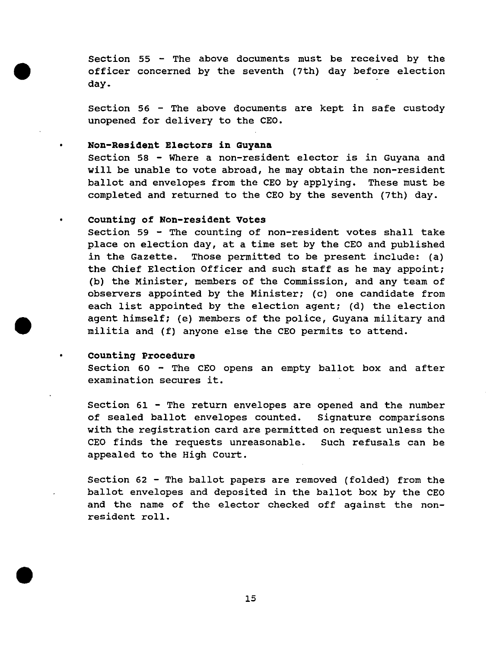section 55 - The above documents must be received by the officer concerned by the seventh (7th) day before election day.

section 56 - The above documents are kept in safe custody unopened for delivery to the CEO.

# **Non-Resident Electors in Guyana**

•

•

•

•

•

section 58 - Where a non-resident elector is in Guyana and will be unable to vote abroad, he may obtain the non-resident ballot and envelopes from the CEO by applying. These must be completed and returned to the CEO by the seventh (7th) day.

# **counting of Non-resident votes**

section 59 - The counting of non-resident votes shall take place on election day, at a time set by the CEO and published in the Gazette. Those permitted to be present include: (a) the Chief Election Officer and such staff as he may appoint; (b) the Minister, members of the Commission, and any team of observers appointed by the Minister; (c) one candidate from each list appointed by the election agent; (d) the election agent himself; (e) members of the police, Guyana military and militia and (f) anyone else the CEO permits to attend.

# **• counting Procedure**

section 60 - The CEO opens an empty ballot box and after examination secures it.

section 61 - The return envelopes are opened and the number of sealed ballot envelopes counted. Signature comparisons with the registration card are permitted on request unless the CEO finds the requests unreasonable. Such refusals can be appealed to the High Court.

section 62 - The ballot papers are removed (folded) from the ballot envelopes and deposited in the ballot box by the CEO and the name of the elector checked off against the nonresident roll.

15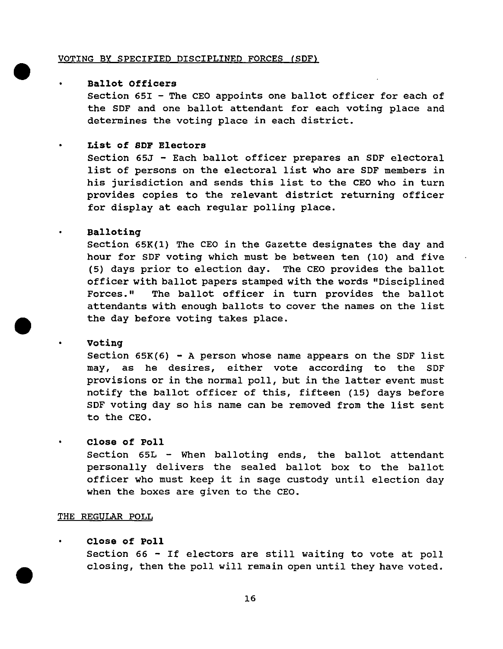## VOTING BY SPECIFIED DISCIPLINED FORCES (SDFl

# **Ballot Officers**

•

•

•

•

section 651 - The CEO appoints one ballot officer for each of the SDF and one ballot attendant for each voting place and determines the voting place in each district.

#### • **List of SDF Electors**

section 65J - Each ballot officer prepares an SDF electoral list of persons on the electoral list who are SDF members in his jurisdiction and sends this list to the CEO who in turn provides copies to the relevant district returning officer for display at each regular polling place.

# **Balloting**

section 65K(1) The CEO in the Gazette designates the day and hour for SDF voting which must be between ten (10) and five (5) days prior to election day. The CEO provides the ballot officer with ballot papers stamped with the words "Disciplined Forces." The ballot officer in turn provides the ballot attendants with enough ballots to cover the names on the list the day before voting takes place.

# **voting**

Section  $65K(6)$  - A person whose name appears on the SDF list may, as he desires, either vote according to the SDF provisions or in the normal poll, but in the latter event must notify the ballot officer of this, fifteen (15) days before SDF voting day so his name can be removed from the list sent to the CEO.

# **Close of Poll**

section 65L - When balloting ends, the ballot attendant personally delivers the sealed ballot box to the ballot officer who must keep it in sage custody until election day when the boxes are given to the CEO.

# THE REGULAR POLL

# **Close of Poll**

section 66 - If electors are still waiting to vote at poll closing, then the poll will remain open until they have voted.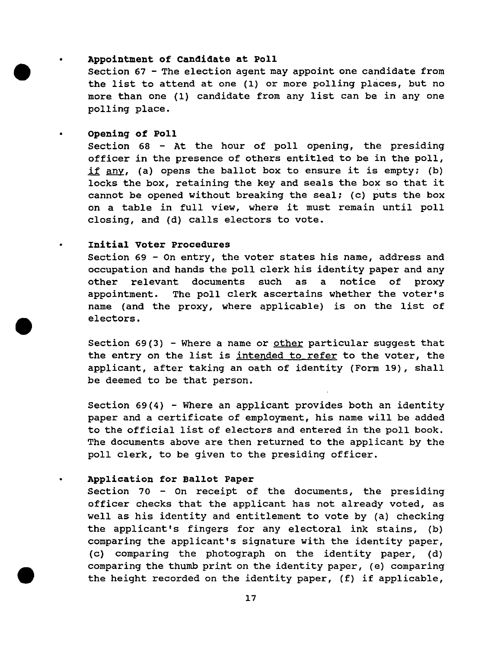# Appointment of Candidate at Poll

section 67 - The election agent may appoint one candidate from the list to attend at one (1) or more polling places, but no more than one (1) candidate from any list can be in anyone polling place.

## opening of Poll

•

•

•

•

•

section 68 - At the hour of poll opening, the presiding officer in the presence of others entitled to be in the poll, if any, (a) opens the ballot box to ensure it is empty; (b) locks the box, retaining the key and seals the box so that it cannot be opened without breaking the seal; (c) puts the box on a table in full view, where it must remain until poll closing, and (d) calls electors to vote.

# Initial Voter Procedures

Section 69 - On entry, the voter states his name, address and occupation and hands the poll clerk his identity paper and any other relevant documents such as a notice of proxy appointment. The poll clerk ascertains whether the voter's name (and the proxy, where applicable) is on the list of electors.

Section 69(3) - Where a name or other particular suggest that the entry on the list is intended to refer to the voter, the applicant, after taking an oath of identity (Form 19), shall be deemed to be that person.

Section  $69(4)$  - Where an applicant provides both an identity paper and a certificate of employment, his name will be added to the official list of electors and entered in the poll book. The documents above are then returned to the applicant by the poll clerk, to be given to the presiding officer.

# Application for Ballot Paper

Section 70 - On receipt of the documents, the presiding officer checks that the applicant has not already voted, as well as his identity and entitlement to vote by (a) checking the applicant's fingers for any electoral ink stains, (b) comparing the applicant's signature with the identity paper, (c) comparing the photograph on the identity paper, (d) comparing the thumb print on the identity paper, (e) comparing the height recorded on the identity paper, (f) if applicable,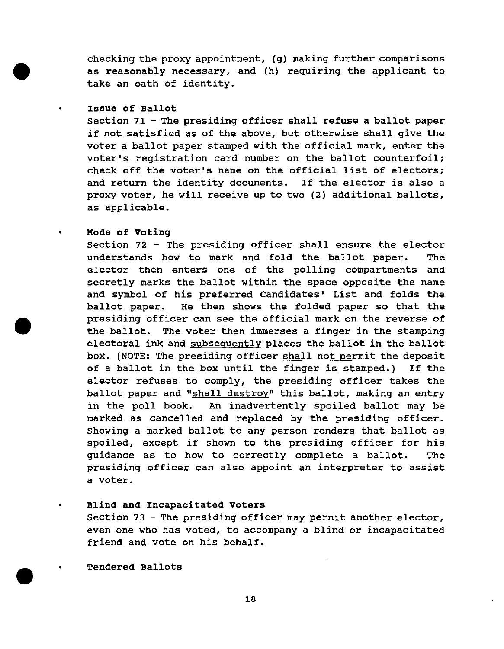checking the proxy appointment, (g) making further comparisons as reasonably necessary, and (h) requiring the applicant to take an oath of identity.

# Issue of Ballot

•

•

•

•

 $\bullet$ 

section 71 - The presiding officer shall refuse a ballot paper if not satisfied as of the above, but otherwise shall give the voter a ballot paper stamped with the official mark, enter the voter's registration card number on the ballot counterfoil; check off the voter's name on the official list of electors; and return the identity documents. If the elector is also a proxy voter, he will receive up to two (2) additional ballots, as applicable.

# Mode of voting

section 72 - The presiding officer shall ensure the elector understands how to mark and fold the ballot paper. The elector then enters one of the polling compartments and secretly marks the ballot within the space opposite the name and symbol of his preferred Candidates' List and folds the ballot paper. He then shows the folded paper so that the presiding officer can see the official mark on the reverse of the ballot. The voter then immerses a finger in the stamping electoral ink and subsequently places the ballot in the ballot box. (NOTE: The presiding officer shall not permit the deposit of a ballot in the box until the finger is stamped.) If the elector refuses to comply, the presiding officer takes the ballot paper and "shall destroy" this ballot, making an entry in the poll book. An inadvertently spoiled ballot may be marked as cancelled and replaced by the presiding officer. showing a marked ballot to any person renders that ballot as spoiled, except if shown to the presiding officer for his guidance as to how to correctly complete a ballot. The presiding officer can also appoint an interpreter to assist a voter.

# Blind and Incapacitated Voters

Section 73 - The presiding officer may permit another elector, even one who has voted, to accompany a blind or incapacitated friend and vote on his behalf.

# Tendered Ballots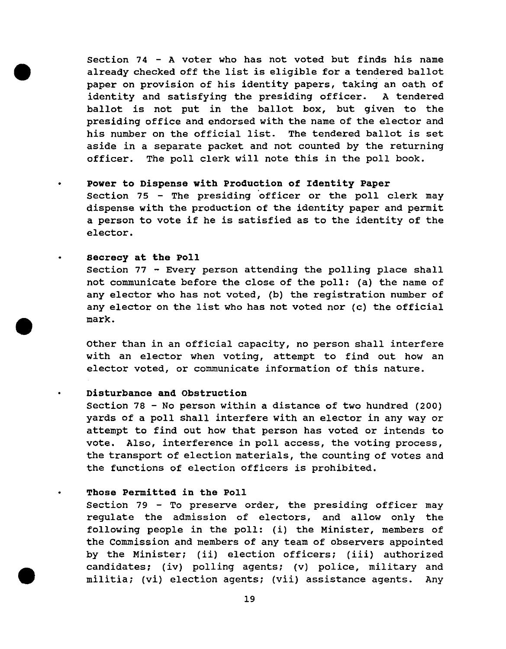section 74 - A voter who has not voted but finds his name already checked off the list is eligible for a tendered ballot paper on provision of his identity papers, taking an oath of identity and satisfying the presiding officer. A tendered ballot is not put in the ballot box, but given to the presiding office and endorsed with the name of the elector and his number on the official list. The tendered ballot is set aside in a separate packet and not counted by the returning officer. The poll clerk will note this in the poll book.

# Power to Dispense with Production of Identity Paper

Section 75 - The presiding officer or the poll clerk may dispense with the production of the identity paper and permit a person to vote if he is satisfied as to the identity of the elector.

# secrecy at the Poll

•

•

•

•

section 77 - Every person attending the polling place shall not communicate before the close of the poll: (a) the name of any elector who has not voted, (b) the registration number of any elector on the list who has not voted nor (c) the official mark .

other than in an official capacity, no person shall interfere with an elector when voting, attempt to find out how an elector voted, or communicate information of this nature.

# Disturbance and Obstruction

section 78 - No person within a distance of two hundred (200) yards of a poll shall interfere with an elector in any way or attempt to find out how that person has voted or intends to vote. Also, interference in poll access, the voting process, the transport of election materials, the counting of votes and the functions of election officers is prohibited.

# Those Permitted in the Poll

section 79 - To preserve order, the presiding officer may regulate the admission of electors, and allow only the following people in the poll: (i) the Minister, members of the Commission and members of any team of observers appointed by the Minister; (ii) election officers; (iii) authorized candidates; (iv) polling agents; (v) police, military and militia; (vi) election agents; (vii) assistance agents. Any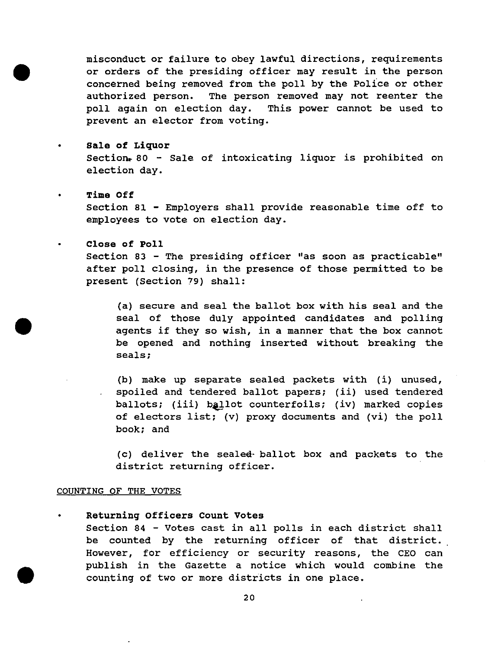misconduct or failure to obey lawful directions, requirements or orders of the presiding officer may result in the person concerned being removed from the poll by the police or other authorized person. The person removed may not reenter the poll again on election day. This power cannot be used to prevent an elector from voting.

• Sale of Liquor

Section. 80 - Sale of intoxicating liquor is prohibited on election day.

• Time Off

•

•

•

Section 81 - Employers shall provide reasonable time off to employees to vote on election day.

# Close of Poll

section 83 - The presiding officer "as soon as practicable" after poll closing, in the presence of those permitted to be present (Section 79) shall:

(a) secure and seal the ballot box with his seal and the seal of those duly appointed candidates and polling agents if they so wish, in a manner that the box cannot be opened and nothing inserted without breaking the seals;

(b) make up separate sealed packets with (i) unused, spoiled and tendered ballot papers; (ii) used tendered ballots; (iii) ballot counterfoils; (iv) marked copies of electors list; (v) proxy documents and (vi) the poll book; and

(c) deliver the sealed- ballot box and packets to the district returning officer.

# COUNTING OF THE VOTES

Returning Officers Count Votes section 84 - Votes cast in all polls in each district shall be counted by the returning officer of that district. However, for efficiency or security reasons, the CEO can publish in the Gazette a notice which would combine the counting of two or more districts in one place.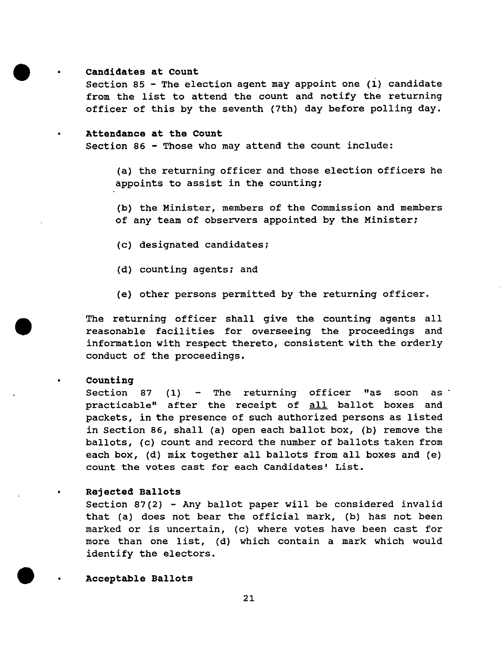#### Candidates at Count

•

•

•

•

•

section 85 - The election agent may appoint one (i) candidate from the list to attend the count and notify the returning officer of this by the seventh (7th) day before polling day.

# • Attendance at the Count

section 86 - Those who may attend the count include:

(a) the returning officer and those election officers he appoints to assist in the counting;

(b) the Minister, members of the Commission and members of any team of observers appointed by the Minister;

- (c) designated candidates;
- (d) counting agents; and
- (e) other persons permitted by the returning officer.

The returning officer shall give the counting agents all reasonable facilities for overseeing the proceedings and information with respect thereto, consistent with the orderly conduct of the proceedings.

#### counting

Section 87 (1)  $\sim$  The returning officer "as soon as practicable" after the receipt of all ballot boxes and packets, in the presence of such authorized persons as listed in section 86, shall (a) open each ballot box, (b) remove the ballots, (c) count and record the number of ballots taken from each box, (d) mix together all ballots from all boxes and (e) count the votes cast for each Candidates' List.

#### • Rejected Ballots

Section 87(2) - Any ballot paper will be considered invalid that (a) does not bear the official mark, (b) has not been marked or is uncertain, (c) where votes have been cast for more than one list, (d) which contain a mark which would identify the electors.

Acceptable Ballots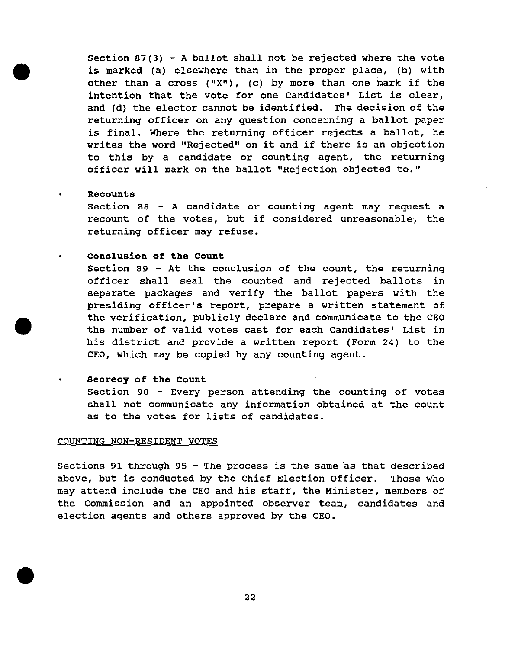Section 87(3) - A ballot shall not be rejected where the vote is marked (a) elsewhere than in the proper place, (b) with other than a cross  $("X")$ , (c) by more than one mark if the intention that the vote for one Candidates' List is clear, and (d) the elector cannot be identified. The decision of the returning officer on any question concerning a ballot paper is final. Where the returning officer rejects a ballot, he writes the word "Rejected" on it and if there is an objection to this by a candidate or counting agent, the returning officer will mark on the ballot "Rejection objected to."

# Recounts

•

•

•

•

•

•

section 88 - A candidate or counting agent may request a recount of the votes, but if considered unreasonable, the returning officer may refuse.

# Conclusion of the Count

Section 89 - At the conclusion of the count, the returning officer shall seal the counted and rejected ballots in separate packages and verify the ballot papers with the presiding officer's report, prepare a written statement of the verification, publicly declare and communicate to the CEO the number of valid votes cast for each Candidates' List in his district and provide a written report (Form 24) to the CEO, which may be copied by any counting agent.

#### Secrecy of the Count

Section 90 - Every person attending the counting of votes shall not communicate any information obtained at the count as to the votes for lists of candidates.

#### COUNTING NON-RESIDENT VOTES

Sections 91 through 95 - The process is the same as that described above, but is conducted by the Chief Election Officer. Those who may attend include the CEO and his staff, the Minister, members of the Commission and an appointed observer team, candidates and election agents and others approved by the CEO .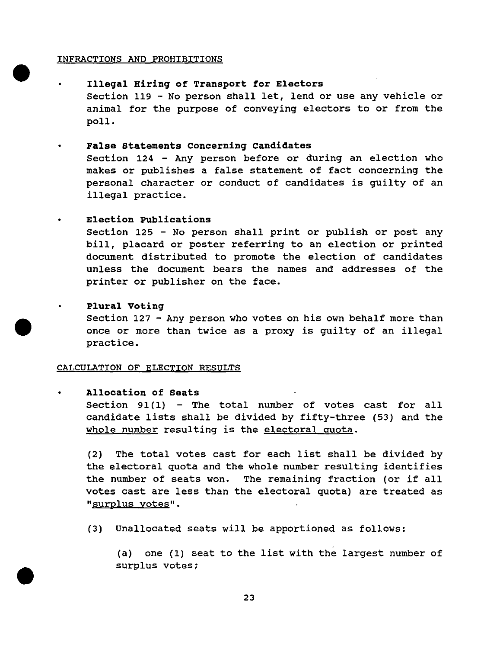# INFRACTIONS AND PROHIBITIONS

•

•

•

Illegal Hiring of Transport for Electors Section 119 - No person shall let, lend or use any vehicle or

animal for the purpose of conveying electors to or from the poll.

## • False statements Concerning Candidates

Section 124 - Any person before or during an election who makes or publishes a false statement of fact concerning the personal character or conduct of candidates is guilty of an illegal practice.

# • Election Publications

Section 125 - No person shall print or publish or post any bill, placard or poster referring to an election or printed document distributed to promote the election of candidates unless the document bears the names and addresses of the printer or publisher on the face.

#### Plural voting

section 127 - Any person who votes on his own behalf more than once or more than twice as a proxy is guilty of an illegal practice.

#### CALCULATION OF ELECTION RESULTS

# • Allocation of seats

Section 91 $(1)$  - The total number of votes cast for all candidate lists shall be divided by fifty-three (53) and the whole number resulting is the electoral quota.

(2) The total votes cast for each list shall be divided by the electoral quota and the whole number resulting identifies the number of seats won. The remaining fraction (or if all votes cast are less than the electoral quota) are treated as "surplus votes".

(3) Unallocated seats will be apportioned as follows:

(a) one (1) seat to the list with the largest number of surplus votes;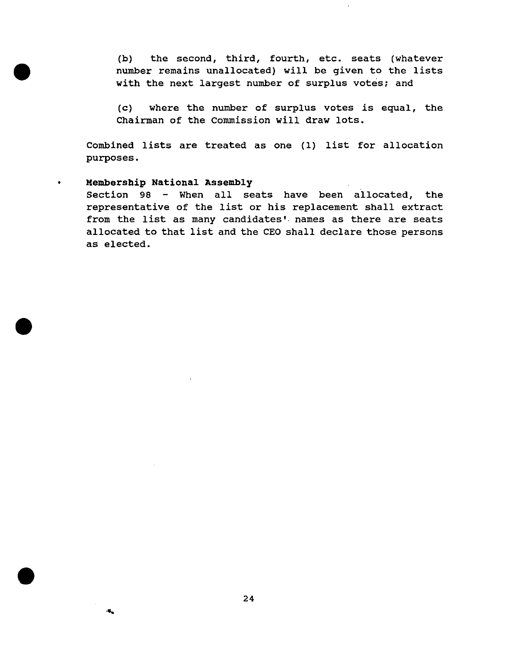(b) the second, third, fourth, etc. seats (whatever number remains unallocated) will be given to the lists with the next largest number of surplus votes; and

(c) where the number of surplus votes is equal, the Chairman of the Commission will draw lots.

Combined lists are treated as one (1) list for allocation purposes.

# • Membership National Assembly

•

•

•

....

Section 98 - When all seats have been allocated, the representative of the list or his replacement shall extract from the list as many candidates'. names as there are seats allocated to that list and the CEO shall declare those persons as elected.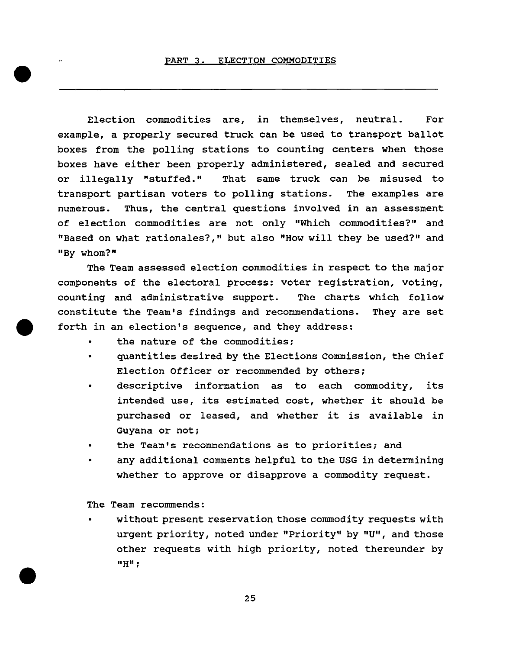Election commodities are, in themselves, neutral. For example, a properly secured truck can be used to transport ballot boxes from the polling stations to counting centers when those boxes have either been properly administered, sealed and secured or illegally "stuffed." That same truck can be misused to transport partisan voters to polling stations. The examples are numerous. Thus, the central questions involved in an assessment of election commodities are not only "Which commodities?" and "Based on what rationales?," but also "How will they be used?" and "By whom?"

The Team assessed election commodities in respect to the major components of the electoral process: voter registration, voting, counting and administrative support. The charts which follow constitute the Team's findings and recommendations. They are set forth in an election's sequence, and they address:

- the nature of the commodities;
- quantities desired by the Elections Commission, the Chief Election Officer or recommended by others;
- descriptive information as to each commodity, its intended use, its estimated cost, whether it should be purchased or leased, and whether it is available in Guyana or not;
- the Team's recommendations as to priorities; and
- any additional comments helpful to the USG in determining whether to approve or disapprove a commodity request.

The Team recommends:

•

•

• without present reservation those commodity requests with urgent priority, noted under "Priority" by "U", and those other requests with high priority, noted thereunder by **"H";**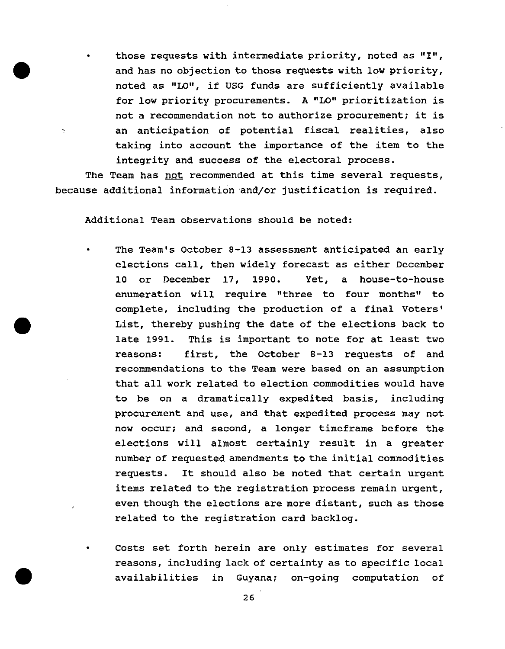• those requests with intermediate priority, noted as "I", and has no objection to those requests with low priority, noted as "LO", if USG funds are sufficiently available for low priority procurements. A "LO" prioritization is not a recommendation not to authorize procurement; it is an anticipation of potential fiscal realities, also taking into account the importance of the item to the integrity and success of the electoral process.

The Team has not recommended at this time several requests, because additional information and/or justification is required.

Additional Team observations should be noted:

•

 $\overline{\cdot}$ 

•

•

- The Team's October 8-13 assessment anticipated an early elections call, then widely forecast as either December 10 or December 17, 1990. Yet, a house-to-house enumeration will require "three to four months" to complete, including the production of a final Voters' List, thereby pushing the date of the elections back to late 1991. This is important to note for at least two reasons: first, the October 8-13 requests of and recommendations to the Team were based on an assumption that all work related to election commodities would have to be on a dramatically expedited basis, including procurement and use, and that expedited process may not now occur; and second, a longer timeframe before the elections will almost certainly result in a greater number of requested amendments to the initial commodities requests. It should also be noted that certain urgent items related to the registration process remain urgent, even though the elections are more distant, such as those related to the registration card backlog.
- Costs set forth herein are only estimates for several reasons, including lack of certainty as to specific local availabilities in Guyana; on-going computation of

26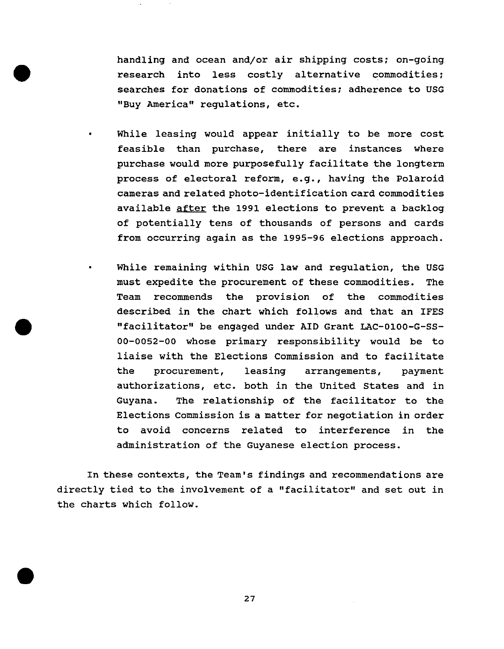handling and ocean and/or air shipping costs; on-going research into less costly alternative commodities; searches for donations of commodities; adherence to USG "Buy America" regulations, etc.

•

•

•

- While leasing would appear initially to be more cost feasible than purchase, there are instances where purchase would more purposefully facilitate the longterm process of electoral reform, e.g., having the Polaroid cameras and related photo-identification card commodities available after the 1991 elections to prevent a backlog of potentially tens of thousands of persons and cards from occurring again as the 1995-96 elections approach.
- While remaining within USG law and regulation, the USG must expedite the procurement of these commodities. The Team recommends the provision of the commodities described in the chart which follows and that an IFES "facilitator" be engaged under AID Grant LAC-0100-G-SS-00-0052-00 whose primary responsibility would be to liaise with the Elections Commission and to facilitate the procurement, leasing arrangements, payment authorizations, etc. both in the united states and in Guyana. The relationship of the facilitator to the Elections Commission is a matter for negotiation in order to avoid concerns related to interference in the administration of the Guyanese election process.

In these contexts, the Team's findings and recommendations are directly tied to the involvement of a "facilitator" and set out in the charts which follow.

27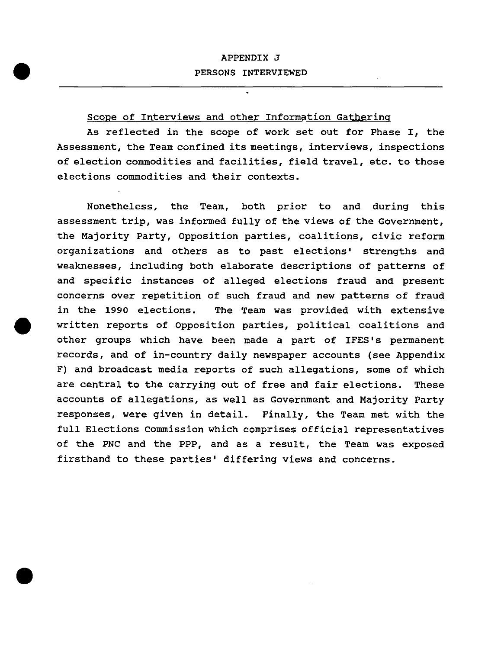# APPENDIX J PERSONS INTERVIEWED

# scope of Interviews and other Information Gathering

•

•

As reflected in the scope of work set out for Phase I, the Assessment, the Team confined its meetings, interviews, inspections of election commodities and facilities, field travel, etc. to those elections commodities and their contexts.

Nonetheless, the Team, both prior to and during this assessment trip, was informed fully of the views of the Government, the Majority Party, Opposition parties, coalitions, civic reform organizations and others as to past elections' strengths and weaknesses, including both elaborate descriptions of patterns of and specific instances of alleged elections fraud and present concerns over repetition of such fraud and new patterns of fraud in the 1990 elections. The Team was provided with extensive • written reports of opposition parties, political coalitions and other groups which have been made a part of IFES's permanent records, and of in-country daily newspaper accounts (see Appendix F) and broadcast media reports of such allegations, some of which are central to the carrying out of free and fair elections. These accounts of allegations, as well as Government and Majority Party responses, were given in detail. Finally, the Team met with the full Elections commission which comprises official representatives of the PNC and the PPP, and as a result, the Team was exposed firsthand to these parties' differing views and concerns .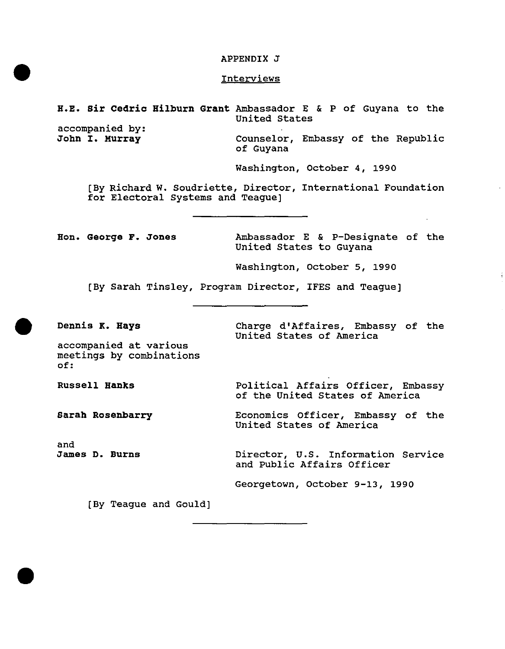#### APPENDIX J

# **Interviews**

# H.E. Sir Cedric Hilburn Grant Ambassador E & P of Guyana to the united states

accompanied by:<br>John I. Murray

•

•

•

Counselor, Embassy of the Republic of Guyana

Washington, october 4, 1990

[By Richard W. Soudriette, Director, International Foundation for Electoral Systems and Teague]

Hon. George F. Jones Ambassador E & p-Designate of the United states to Guyana

Washington, october 5, 1990

[By Sarah Tinsley, Program Director, IFES and Teague]

Dennis K. Hays

Charge d'Affaires, Embassy of the united states of America

accompanied at various meetings by combinations of:

Russell Hanks

Sarah Rosenbarry

and James D. Burns Political Affairs Officer, Embassy of the United states of America

Economics Officer, Embassy of the United states of America

Director, u.s. Information Service and Public Affairs Officer

Georgetown, October 9-13, 1990

[By Teague and Gould]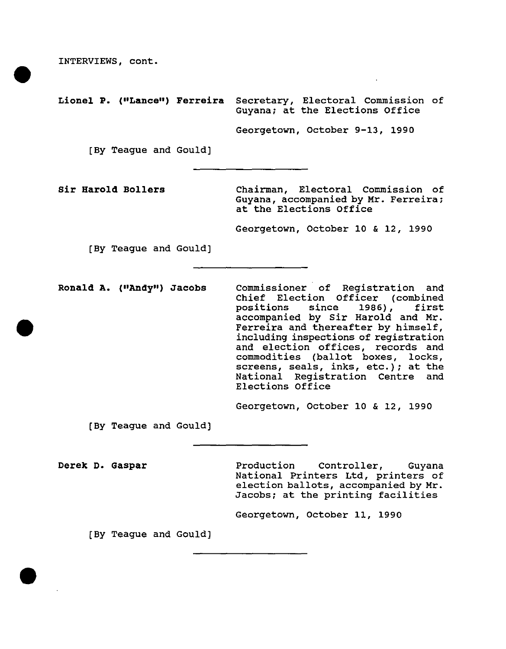INTERVIEWS, cont .

•

•

•

Lionel P. ("Lance") Ferreira Secretary, Electoral Commission of Guyana; at the Elections Office

Georgetown, October 9-13, 1990

[By Teague and Gould]

Sir Harold BoIlers

Chairman, Electoral Commission of Guyana, accompanied by Mr. Ferreira; at the Elections Office

Georgetown, October 10 & 12, 1990

[By Teague and Gould]

Ronald A. ("Andy") Jacobs commissioner of Registration and Chief Election Officer (combined<br>positions since 1986), first positions since 1986), accompanied by Sir Harold and Mr. Ferreira and thereafter by himself, including inspections of registration and election offices, records and commodities (ballot boxes, locks, screens, seals, inks, etc.); at the National Registration Centre and Elections Office

Georgetown, October 10 & 12, 1990

[By Teague and GOUld]

Derek D. Gaspar

Production Controller, Guyana National Printers Ltd, printers of election ballots, accompanied by Mr. Jacobs; at the printing facilities

Georgetown, October 11, 1990

[By Teague and Gould]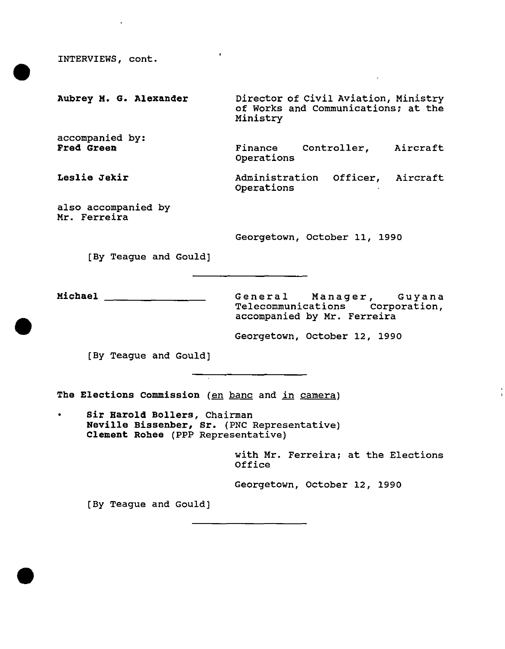INTERVIEWS, cont .

•

•

Aubrey M. G. Alexander accompanied by: Fred Green Leslie Jekir also accompanied by Mr. Ferreira [By Teague and Gould] Director of civil Aviation, Ministry of Works and communications; at the Ministry Finance Controller, Aircraft Operations Administration Officer, Aircraft operations Georgetown, October 11, 1990

• Michael General Manager, Guyana Telecommunications corporation, accompanied by Mr. Ferreira

Georgetown, October 12, 1990

[By Teague and Gould]

The Elections Commission (en banc and in camera)

Sir Harold Bollers, Chairman Neville Bissenber, Sr. (PNC Representative) Clement Rohee (PPP Representative)

> with Mr. Ferreira; at the Elections Office

Georgetown, October 12, 1990

[By Teague and Gould]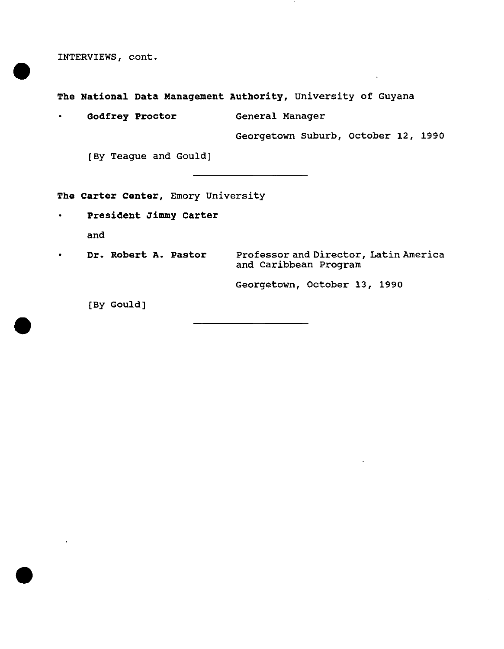INTERVIEWS, cont.

•

•

•

**The National Data Management Authority,** university of Guyana

• **Godfrey Proctor** General Manager

Georgetown Suburb, October 12, 1990

[By Teague and Gould]

**The Carter Center,** Emory University

**• President Jimmy Carter**  and

• **Dr. Robert A. Pastor**  Professor and Director, Latin America and Caribbean Program

Georgetown, October 13, 1990

[By Gould]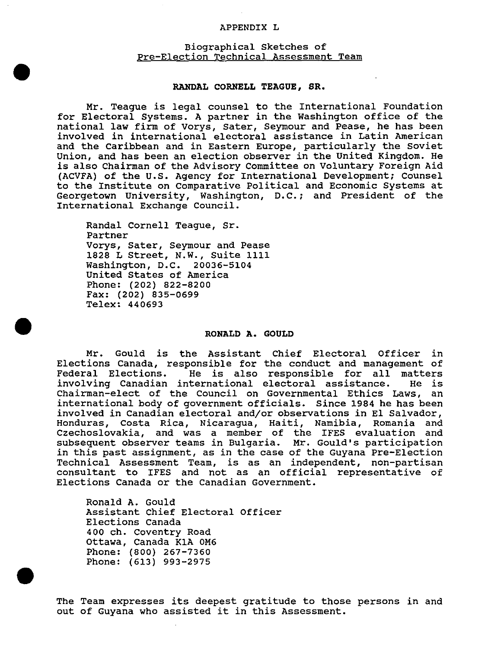#### APPENDIX L

# Biographical Sketches of Pre-Election Technical Assessment Team

#### **RANDAL CORNELL TEAGUE, SR.**

Mr. Teague is legal counsel to the International Foundation for Electoral Systems. A partner in the Washington office of the national law firm of Vorys, sater, Seymour and Pease, he has been involved in international electoral assistance in Latin American and the Caribbean and in Eastern Europe, particularly the Soviet Union, and has been an election observer in the united Kingdom. He is also Chairman of the Advisory Committee on voluntary Foreign Aid (ACVFA) of the U.S. Agency for International Development; Counsel to the Institute on Comparative Political and Economic Systems at Georgetown University, Washington, D.C.; and President of the International Exchange Council.

Randal Cornell Teague, Sr. Partner Vorys, Sater, Seymour and Pease 1828 L Street, N.W., suite 1111 Washington, D.C. 20036-5104 united States of America Phone: (202) 822-8200 Fax: (202) 835-0699 Telex: 440693

•

•

•

#### **RONALD A. GOULD**

Mr. Gould is the Assistant Chief Electoral Officer in Elections Canada, responsible for the conduct and management of Federal Elections. He is also responsible for all matters<br>involving Canadian international electoral assistance. He is involving Canadian international electoral assistance. Chairman-elect of the Council on Governmental Ethics Laws, an international body of government officials. Since 1984 he has been involved in Canadian electoral and/or observations in El Salvador, Honduras, Costa Rica, Nicaragua, Haiti, Namibia, Romania and Czechoslovakia, and was a member of the IFES evaluation and subsequent observer teams in Bulgaria. Mr. Gould's participation in this past assignment, as in the case of the Guyana Pre-Election Technical Assessment Team, is as an independent, non-partisan consultant to IFES and not as an official representative of Elections Canada or the Canadian Government.

Ronald A. Gould Assistant chief Electoral Officer Elections Canada 400 ch. coventry Road Ottawa, Canada K1A OM6 Phone: (800) 267-7360 Phone: (613) 993-2975

The Team expresses its deepest gratitude to those persons in and out of Guyana who assisted it in this Assessment.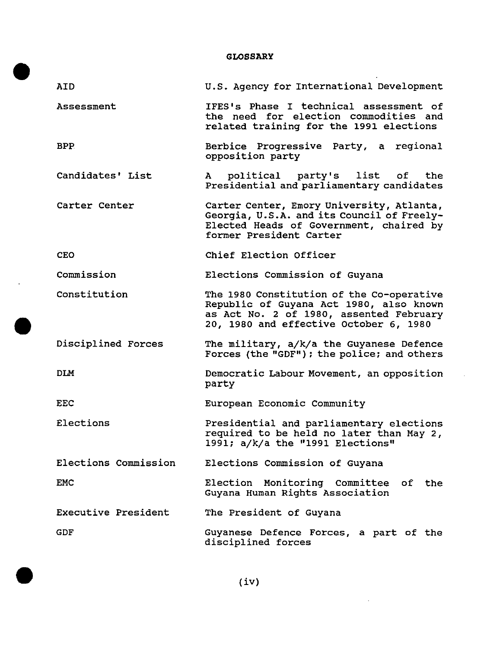|                      | <b>GLOSSARY</b>                                                                                                                                                           |
|----------------------|---------------------------------------------------------------------------------------------------------------------------------------------------------------------------|
| AID.                 | U.S. Agency for International Development                                                                                                                                 |
| Assessment           | IFES's Phase I technical assessment of<br>the need for election commodities and<br>related training for the 1991 elections                                                |
| <b>BPP</b>           | Berbice Progressive Party, a regional<br>opposition party                                                                                                                 |
| Candidates' List     | political party's list of the<br>A<br>Presidential and parliamentary candidates                                                                                           |
| Carter Center        | Carter Center, Emory University, Atlanta,<br>Georgia, U.S.A. and its Council of Freely-<br>Elected Heads of Government, chaired by<br>former President Carter             |
| <b>CEO</b>           | Chief Election Officer                                                                                                                                                    |
| Commission           | Elections Commission of Guyana                                                                                                                                            |
| Constitution         | The 1980 Constitution of the Co-operative<br>Republic of Guyana Act 1980, also known<br>as Act No. 2 of 1980, assented February<br>20, 1980 and effective October 6, 1980 |
| Disciplined Forces   | The military, a/k/a the Guyanese Defence<br>Forces (the "GDF"); the police; and others                                                                                    |
| <b>DLM</b>           | Democratic Labour Movement, an opposition<br>party                                                                                                                        |
| <b>EEC</b>           | European Economic Community                                                                                                                                               |
| Elections            | Presidential and parliamentary elections<br>required to be held no later than May 2,<br>1991; a/k/a the "1991 Elections"                                                  |
| Elections Commission | Elections Commission of Guyana                                                                                                                                            |
| <b>EMC</b>           | Election Monitoring Committee of the<br>Guyana Human Rights Association                                                                                                   |
| Executive President  | The President of Guyana                                                                                                                                                   |
| <b>GDF</b>           | Guyanese Defence Forces, a part of the<br>disciplined forces                                                                                                              |

 $\sim$ 

 $\sim$ 

•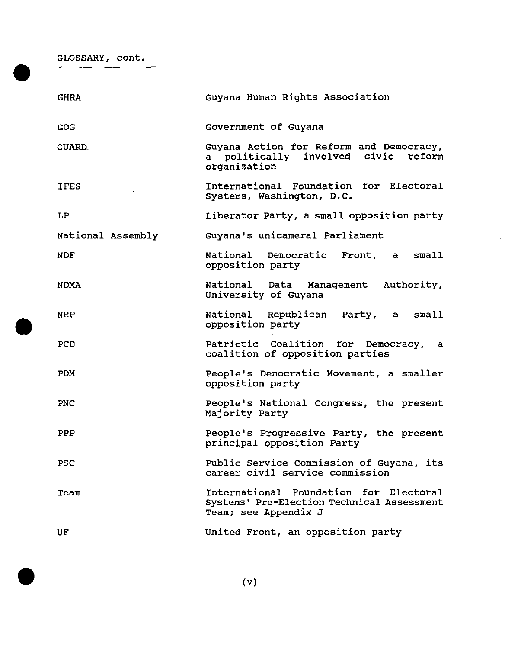| GLOSSARY, cont.   |                                                                                                              |
|-------------------|--------------------------------------------------------------------------------------------------------------|
| <b>GHRA</b>       | Guyana Human Rights Association                                                                              |
| <b>GOG</b>        | Government of Guyana                                                                                         |
| <b>GUARD.</b>     | Guyana Action for Reform and Democracy,<br>a politically involved civic reform<br>organization               |
| <b>IFES</b>       | International Foundation for Electoral<br>Systems, Washington, D.C.                                          |
| LP                | Liberator Party, a small opposition party                                                                    |
| National Assembly | Guyana's unicameral Parliament                                                                               |
| <b>NDF</b>        | National Democratic Front, a<br>small<br>opposition party                                                    |
| <b>NDMA</b>       | National Data Management Authority,<br>University of Guyana                                                  |
| <b>NRP</b>        | National Republican Party, a<br>small<br>opposition party                                                    |
| <b>PCD</b>        | Patriotic Coalition for Democracy, a<br>coalition of opposition parties                                      |
| PDM               | People's Democratic Movement, a smaller<br>opposition party                                                  |
| <b>PNC</b>        | People's National Congress, the present<br>Majority Party                                                    |
| PPP               | People's Progressive Party, the present<br>principal opposition Party                                        |
| <b>PSC</b>        | Public Service Commission of Guyana, its<br>career civil service commission                                  |
| Team              | International Foundation for Electoral<br>Systems' Pre-Election Technical Assessment<br>Team; see Appendix J |
| UF                | United Front, an opposition party                                                                            |



•